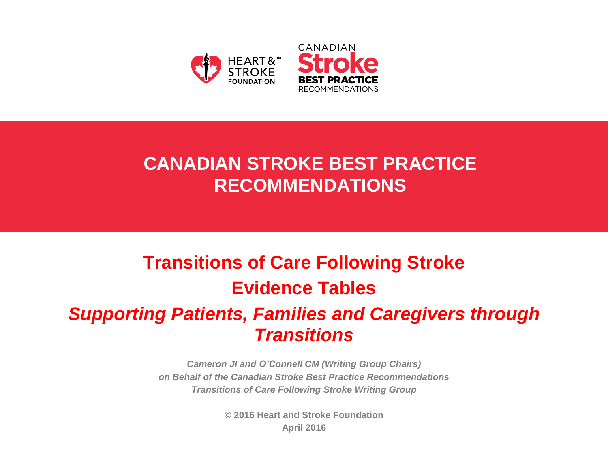

# **CANADIAN STROKE BEST PRACTICE RECOMMENDATIONS**

# **Transitions of Care Following Stroke Evidence Tables** *Supporting Patients, Families and Caregivers through Transitions*

*Cameron JI and O'Connell CM (Writing Group Chairs) on Behalf of the Canadian Stroke Best Practice Recommendations Transitions of Care Following Stroke Writing Group*

> **© 2016 Heart and Stroke Foundation April 2016**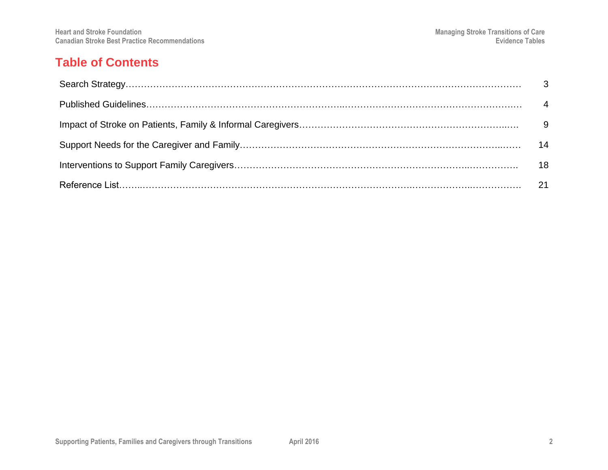#### **Table of Contents**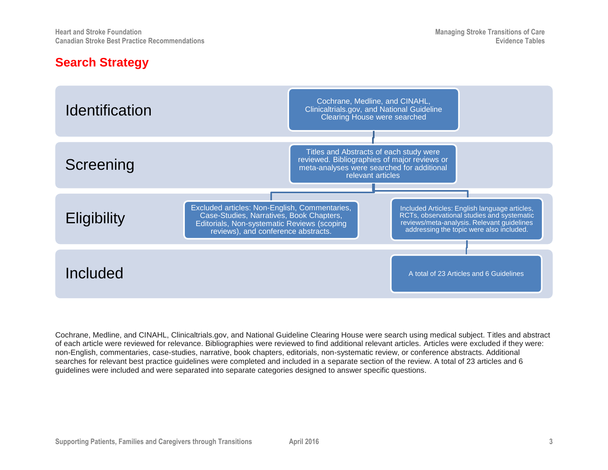### **Search Strategy**



Cochrane, Medline, and CINAHL, Clinicaltrials.gov, and National Guideline Clearing House were search using medical subject. Titles and abstract of each article were reviewed for relevance. Bibliographies were reviewed to find additional relevant articles. Articles were excluded if they were: non-English, commentaries, case-studies, narrative, book chapters, editorials, non-systematic review, or conference abstracts. Additional searches for relevant best practice guidelines were completed and included in a separate section of the review. A total of 23 articles and 6 guidelines were included and were separated into separate categories designed to answer specific questions.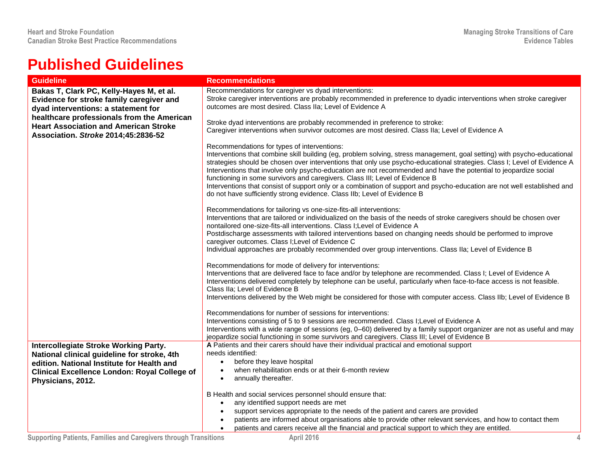## **Published Guidelines**

| <b>Guideline</b>                                    | <b>Recommendations</b>                                                                                                                                                                                                                                                                                                                                                                                                                                                                                                                                                                                                                                           |
|-----------------------------------------------------|------------------------------------------------------------------------------------------------------------------------------------------------------------------------------------------------------------------------------------------------------------------------------------------------------------------------------------------------------------------------------------------------------------------------------------------------------------------------------------------------------------------------------------------------------------------------------------------------------------------------------------------------------------------|
| Bakas T, Clark PC, Kelly-Hayes M, et al.            | Recommendations for caregiver vs dyad interventions:                                                                                                                                                                                                                                                                                                                                                                                                                                                                                                                                                                                                             |
| Evidence for stroke family caregiver and            | Stroke caregiver interventions are probably recommended in preference to dyadic interventions when stroke caregiver                                                                                                                                                                                                                                                                                                                                                                                                                                                                                                                                              |
| dyad interventions: a statement for                 | outcomes are most desired. Class IIa; Level of Evidence A                                                                                                                                                                                                                                                                                                                                                                                                                                                                                                                                                                                                        |
| healthcare professionals from the American          |                                                                                                                                                                                                                                                                                                                                                                                                                                                                                                                                                                                                                                                                  |
| <b>Heart Association and American Stroke</b>        | Stroke dyad interventions are probably recommended in preference to stroke:                                                                                                                                                                                                                                                                                                                                                                                                                                                                                                                                                                                      |
| Association. Stroke 2014;45:2836-52                 | Caregiver interventions when survivor outcomes are most desired. Class IIa; Level of Evidence A                                                                                                                                                                                                                                                                                                                                                                                                                                                                                                                                                                  |
|                                                     | Recommendations for types of interventions:                                                                                                                                                                                                                                                                                                                                                                                                                                                                                                                                                                                                                      |
|                                                     | Interventions that combine skill building (eg, problem solving, stress management, goal setting) with psycho-educational<br>strategies should be chosen over interventions that only use psycho-educational strategies. Class I; Level of Evidence A<br>Interventions that involve only psycho-education are not recommended and have the potential to jeopardize social<br>functioning in some survivors and caregivers. Class III; Level of Evidence B<br>Interventions that consist of support only or a combination of support and psycho-education are not well established and<br>do not have sufficiently strong evidence. Class IIb; Level of Evidence B |
|                                                     | Recommendations for tailoring vs one-size-fits-all interventions:<br>Interventions that are tailored or individualized on the basis of the needs of stroke caregivers should be chosen over<br>nontailored one-size-fits-all interventions. Class I; Level of Evidence A<br>Postdischarge assessments with tailored interventions based on changing needs should be performed to improve<br>caregiver outcomes. Class I; Level of Evidence C<br>Individual approaches are probably recommended over group interventions. Class IIa; Level of Evidence B                                                                                                          |
|                                                     | Recommendations for mode of delivery for interventions:<br>Interventions that are delivered face to face and/or by telephone are recommended. Class I; Level of Evidence A<br>Interventions delivered completely by telephone can be useful, particularly when face-to-face access is not feasible.<br>Class IIa: Level of Evidence B<br>Interventions delivered by the Web might be considered for those with computer access. Class IIb; Level of Evidence B                                                                                                                                                                                                   |
|                                                     | Recommendations for number of sessions for interventions:                                                                                                                                                                                                                                                                                                                                                                                                                                                                                                                                                                                                        |
|                                                     | Interventions consisting of 5 to 9 sessions are recommended. Class I;Level of Evidence A                                                                                                                                                                                                                                                                                                                                                                                                                                                                                                                                                                         |
|                                                     | Interventions with a wide range of sessions (eg, 0–60) delivered by a family support organizer are not as useful and may<br>jeopardize social functioning in some survivors and caregivers. Class III; Level of Evidence B                                                                                                                                                                                                                                                                                                                                                                                                                                       |
| <b>Intercollegiate Stroke Working Party.</b>        | A Patients and their carers should have their individual practical and emotional support                                                                                                                                                                                                                                                                                                                                                                                                                                                                                                                                                                         |
| National clinical guideline for stroke, 4th         | needs identified:                                                                                                                                                                                                                                                                                                                                                                                                                                                                                                                                                                                                                                                |
| edition. National Institute for Health and          | before they leave hospital<br>$\bullet$                                                                                                                                                                                                                                                                                                                                                                                                                                                                                                                                                                                                                          |
| <b>Clinical Excellence London: Royal College of</b> | when rehabilitation ends or at their 6-month review<br>$\bullet$                                                                                                                                                                                                                                                                                                                                                                                                                                                                                                                                                                                                 |
| Physicians, 2012.                                   | annually thereafter.<br>$\bullet$                                                                                                                                                                                                                                                                                                                                                                                                                                                                                                                                                                                                                                |
|                                                     |                                                                                                                                                                                                                                                                                                                                                                                                                                                                                                                                                                                                                                                                  |
|                                                     | B Health and social services personnel should ensure that:<br>any identified support needs are met<br>$\bullet$                                                                                                                                                                                                                                                                                                                                                                                                                                                                                                                                                  |
|                                                     | support services appropriate to the needs of the patient and carers are provided<br>$\bullet$                                                                                                                                                                                                                                                                                                                                                                                                                                                                                                                                                                    |
|                                                     | patients are informed about organisations able to provide other relevant services, and how to contact them                                                                                                                                                                                                                                                                                                                                                                                                                                                                                                                                                       |
|                                                     | patients and carers receive all the financial and practical support to which they are entitled.<br>$\bullet$                                                                                                                                                                                                                                                                                                                                                                                                                                                                                                                                                     |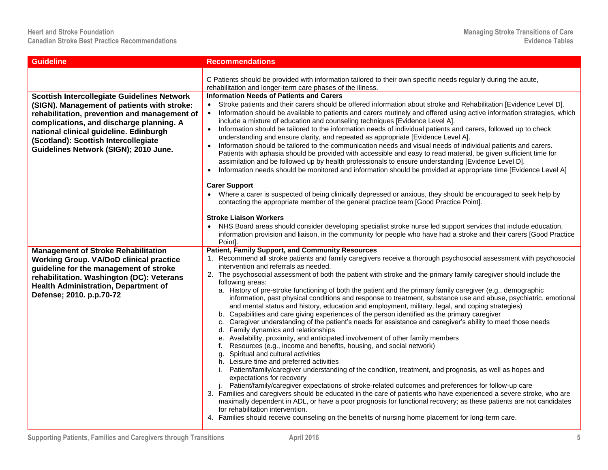| <b>Guideline</b>                                                                                                                                                                                                                                                                                                         | <b>Recommendations</b>                                                                                                                                                                                                                                                                                                                                                                                                                                                                                                                                                                                                                                                                                                                                                                                                                                                                                                                                                                                                                                                                                                                                                                                                                                                                                                                                                                                                                                                                                                                                                                                                                                                                                                                                                                                                                                       |
|--------------------------------------------------------------------------------------------------------------------------------------------------------------------------------------------------------------------------------------------------------------------------------------------------------------------------|--------------------------------------------------------------------------------------------------------------------------------------------------------------------------------------------------------------------------------------------------------------------------------------------------------------------------------------------------------------------------------------------------------------------------------------------------------------------------------------------------------------------------------------------------------------------------------------------------------------------------------------------------------------------------------------------------------------------------------------------------------------------------------------------------------------------------------------------------------------------------------------------------------------------------------------------------------------------------------------------------------------------------------------------------------------------------------------------------------------------------------------------------------------------------------------------------------------------------------------------------------------------------------------------------------------------------------------------------------------------------------------------------------------------------------------------------------------------------------------------------------------------------------------------------------------------------------------------------------------------------------------------------------------------------------------------------------------------------------------------------------------------------------------------------------------------------------------------------------------|
|                                                                                                                                                                                                                                                                                                                          | C Patients should be provided with information tailored to their own specific needs regularly during the acute,<br>rehabilitation and longer-term care phases of the illness.                                                                                                                                                                                                                                                                                                                                                                                                                                                                                                                                                                                                                                                                                                                                                                                                                                                                                                                                                                                                                                                                                                                                                                                                                                                                                                                                                                                                                                                                                                                                                                                                                                                                                |
| <b>Scottish Intercollegiate Guidelines Network</b><br>(SIGN). Management of patients with stroke:<br>rehabilitation, prevention and management of<br>complications, and discharge planning. A<br>national clinical guideline. Edinburgh<br>(Scotland): Scottish Intercollegiate<br>Guidelines Network (SIGN); 2010 June. | <b>Information Needs of Patients and Carers</b><br>Stroke patients and their carers should be offered information about stroke and Rehabilitation [Evidence Level D].<br>$\bullet$<br>Information should be available to patients and carers routinely and offered using active information strategies, which<br>$\bullet$<br>include a mixture of education and counseling techniques [Evidence Level A].<br>Information should be tailored to the information needs of individual patients and carers, followed up to check<br>$\bullet$<br>understanding and ensure clarity, and repeated as appropriate [Evidence Level A].<br>Information should be tailored to the communication needs and visual needs of individual patients and carers.<br>Patients with aphasia should be provided with accessible and easy to read material, be given sufficient time for<br>assimilation and be followed up by health professionals to ensure understanding [Evidence Level D].<br>Information needs should be monitored and information should be provided at appropriate time [Evidence Level A]<br><b>Carer Support</b><br>Where a carer is suspected of being clinically depressed or anxious, they should be encouraged to seek help by<br>contacting the appropriate member of the general practice team [Good Practice Point].                                                                                                                                                                                                                                                                                                                                                                                                                                                                                                                            |
|                                                                                                                                                                                                                                                                                                                          | <b>Stroke Liaison Workers</b><br>• NHS Board areas should consider developing specialist stroke nurse led support services that include education,<br>information provision and liaison, in the community for people who have had a stroke and their carers [Good Practice<br>Point].                                                                                                                                                                                                                                                                                                                                                                                                                                                                                                                                                                                                                                                                                                                                                                                                                                                                                                                                                                                                                                                                                                                                                                                                                                                                                                                                                                                                                                                                                                                                                                        |
| <b>Management of Stroke Rehabilitation</b><br><b>Working Group. VA/DoD clinical practice</b><br>guideline for the management of stroke<br>rehabilitation. Washington (DC): Veterans<br><b>Health Administration, Department of</b><br>Defense; 2010. p.p.70-72                                                           | <b>Patient, Family Support, and Community Resources</b><br>1. Recommend all stroke patients and family caregivers receive a thorough psychosocial assessment with psychosocial<br>intervention and referrals as needed.<br>2. The psychosocial assessment of both the patient with stroke and the primary family caregiver should include the<br>following areas:<br>a. History of pre-stroke functioning of both the patient and the primary family caregiver (e.g., demographic<br>information, past physical conditions and response to treatment, substance use and abuse, psychiatric, emotional<br>and mental status and history, education and employment, military, legal, and coping strategies)<br>b. Capabilities and care giving experiences of the person identified as the primary caregiver<br>c. Caregiver understanding of the patient's needs for assistance and caregiver's ability to meet those needs<br>d. Family dynamics and relationships<br>e. Availability, proximity, and anticipated involvement of other family members<br>f. Resources (e.g., income and benefits, housing, and social network)<br>g. Spiritual and cultural activities<br>h. Leisure time and preferred activities<br>i. Patient/family/caregiver understanding of the condition, treatment, and prognosis, as well as hopes and<br>expectations for recovery<br>Patient/family/caregiver expectations of stroke-related outcomes and preferences for follow-up care<br>3. Families and caregivers should be educated in the care of patients who have experienced a severe stroke, who are<br>maximally dependent in ADL, or have a poor prognosis for functional recovery; as these patients are not candidates<br>for rehabilitation intervention.<br>4. Families should receive counseling on the benefits of nursing home placement for long-term care. |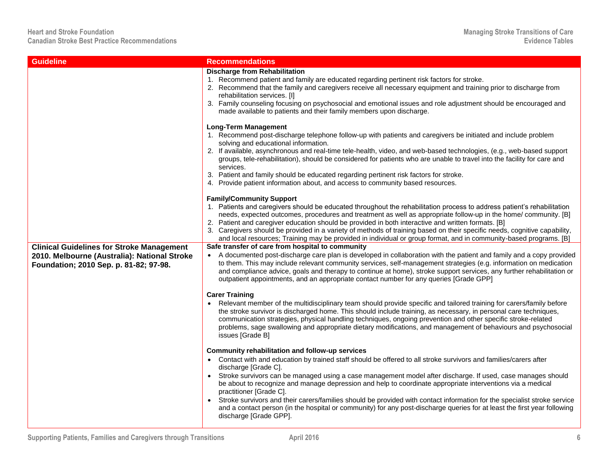| <b>Guideline</b>                                                                                                                           | <b>Recommendations</b>                                                                                                                                                                                                                                                                                                                                                                                                                                                                                                                                                                                                                                                                                                                 |
|--------------------------------------------------------------------------------------------------------------------------------------------|----------------------------------------------------------------------------------------------------------------------------------------------------------------------------------------------------------------------------------------------------------------------------------------------------------------------------------------------------------------------------------------------------------------------------------------------------------------------------------------------------------------------------------------------------------------------------------------------------------------------------------------------------------------------------------------------------------------------------------------|
|                                                                                                                                            | <b>Discharge from Rehabilitation</b><br>1. Recommend patient and family are educated regarding pertinent risk factors for stroke.<br>2. Recommend that the family and caregivers receive all necessary equipment and training prior to discharge from<br>rehabilitation services. [I]<br>3. Family counseling focusing on psychosocial and emotional issues and role adjustment should be encouraged and<br>made available to patients and their family members upon discharge.                                                                                                                                                                                                                                                        |
|                                                                                                                                            | <b>Long-Term Management</b><br>1. Recommend post-discharge telephone follow-up with patients and caregivers be initiated and include problem<br>solving and educational information.<br>2. If available, asynchronous and real-time tele-health, video, and web-based technologies, (e.g., web-based support<br>groups, tele-rehabilitation), should be considered for patients who are unable to travel into the facility for care and<br>services.<br>3. Patient and family should be educated regarding pertinent risk factors for stroke.<br>4. Provide patient information about, and access to community based resources.                                                                                                        |
|                                                                                                                                            | <b>Family/Community Support</b><br>1. Patients and caregivers should be educated throughout the rehabilitation process to address patient's rehabilitation<br>needs, expected outcomes, procedures and treatment as well as appropriate follow-up in the home/community. [B]<br>2. Patient and caregiver education should be provided in both interactive and written formats. [B]<br>3. Caregivers should be provided in a variety of methods of training based on their specific needs, cognitive capability,<br>and local resources; Training may be provided in individual or group format, and in community-based programs. [B]                                                                                                   |
| <b>Clinical Guidelines for Stroke Management</b><br>2010. Melbourne (Australia): National Stroke<br>Foundation; 2010 Sep. p. 81-82; 97-98. | Safe transfer of care from hospital to community<br>• A documented post-discharge care plan is developed in collaboration with the patient and family and a copy provided<br>to them. This may include relevant community services, self-management strategies (e.g. information on medication<br>and compliance advice, goals and therapy to continue at home), stroke support services, any further rehabilitation or                                                                                                                                                                                                                                                                                                                |
|                                                                                                                                            | outpatient appointments, and an appropriate contact number for any queries [Grade GPP]<br><b>Carer Training</b><br>Relevant member of the multidisciplinary team should provide specific and tailored training for carers/family before<br>the stroke survivor is discharged home. This should include training, as necessary, in personal care techniques,<br>communication strategies, physical handling techniques, ongoing prevention and other specific stroke-related<br>problems, sage swallowing and appropriate dietary modifications, and management of behaviours and psychosocial<br>issues [Grade B]                                                                                                                      |
|                                                                                                                                            | Community rehabilitation and follow-up services<br>• Contact with and education by trained staff should be offered to all stroke survivors and families/carers after<br>discharge [Grade C].<br>Stroke survivors can be managed using a case management model after discharge. If used, case manages should<br>be about to recognize and manage depression and help to coordinate appropriate interventions via a medical<br>practitioner [Grade C].<br>Stroke survivors and their carers/families should be provided with contact information for the specialist stroke service<br>and a contact person (in the hospital or community) for any post-discharge queries for at least the first year following<br>discharge [Grade GPP]. |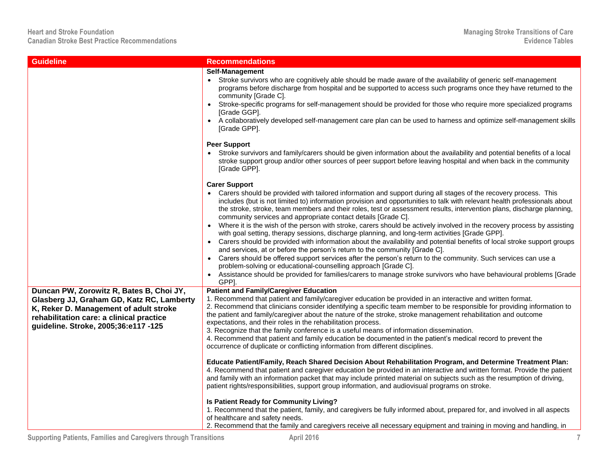| <b>Guideline</b>                                                                                                                                                                                                    | <b>Recommendations</b>                                                                                                                                                                                                                                                                                                                                                                                                                                                                                                                                                                                                                                                                                                                                                                                                                                                                                                                                                                                                                                                                                                                                                                                                                                                                                                                                                                                                                                                                                                                                                   |
|---------------------------------------------------------------------------------------------------------------------------------------------------------------------------------------------------------------------|--------------------------------------------------------------------------------------------------------------------------------------------------------------------------------------------------------------------------------------------------------------------------------------------------------------------------------------------------------------------------------------------------------------------------------------------------------------------------------------------------------------------------------------------------------------------------------------------------------------------------------------------------------------------------------------------------------------------------------------------------------------------------------------------------------------------------------------------------------------------------------------------------------------------------------------------------------------------------------------------------------------------------------------------------------------------------------------------------------------------------------------------------------------------------------------------------------------------------------------------------------------------------------------------------------------------------------------------------------------------------------------------------------------------------------------------------------------------------------------------------------------------------------------------------------------------------|
|                                                                                                                                                                                                                     | Self-Management<br>• Stroke survivors who are cognitively able should be made aware of the availability of generic self-management<br>programs before discharge from hospital and be supported to access such programs once they have returned to the<br>community [Grade C].<br>Stroke-specific programs for self-management should be provided for those who require more specialized programs<br>[Grade GGP].<br>• A collaboratively developed self-management care plan can be used to harness and optimize self-management skills<br>[Grade GPP].                                                                                                                                                                                                                                                                                                                                                                                                                                                                                                                                                                                                                                                                                                                                                                                                                                                                                                                                                                                                                   |
|                                                                                                                                                                                                                     | <b>Peer Support</b><br>Stroke survivors and family/carers should be given information about the availability and potential benefits of a local<br>stroke support group and/or other sources of peer support before leaving hospital and when back in the community<br>[Grade GPP].                                                                                                                                                                                                                                                                                                                                                                                                                                                                                                                                                                                                                                                                                                                                                                                                                                                                                                                                                                                                                                                                                                                                                                                                                                                                                       |
|                                                                                                                                                                                                                     | <b>Carer Support</b><br>Carers should be provided with tailored information and support during all stages of the recovery process. This<br>includes (but is not limited to) information provision and opportunities to talk with relevant health professionals about<br>the stroke, stroke, team members and their roles, test or assessment results, intervention plans, discharge planning,<br>community services and appropriate contact details [Grade C].<br>Where it is the wish of the person with stroke, carers should be actively involved in the recovery process by assisting<br>with goal setting, therapy sessions, discharge planning, and long-term activities [Grade GPP].<br>• Carers should be provided with information about the availability and potential benefits of local stroke support groups<br>and services, at or before the person's return to the community [Grade C].<br>Carers should be offered support services after the person's return to the community. Such services can use a<br>problem-solving or educational-counselling approach [Grade C].<br>Assistance should be provided for families/carers to manage stroke survivors who have behavioural problems [Grade<br>GPP].                                                                                                                                                                                                                                                                                                                                                  |
| Duncan PW, Zorowitz R, Bates B, Choi JY,<br>Glasberg JJ, Graham GD, Katz RC, Lamberty<br>K, Reker D. Management of adult stroke<br>rehabilitation care: a clinical practice<br>guideline. Stroke, 2005;36:e117 -125 | <b>Patient and Family/Caregiver Education</b><br>1. Recommend that patient and family/caregiver education be provided in an interactive and written format.<br>2. Recommend that clinicians consider identifying a specific team member to be responsible for providing information to<br>the patient and family/caregiver about the nature of the stroke, stroke management rehabilitation and outcome<br>expectations, and their roles in the rehabilitation process.<br>3. Recognize that the family conference is a useful means of information dissemination.<br>4. Recommend that patient and family education be documented in the patient's medical record to prevent the<br>occurrence of duplicate or conflicting information from different disciplines.<br>Educate Patient/Family, Reach Shared Decision About Rehabilitation Program, and Determine Treatment Plan:<br>4. Recommend that patient and caregiver education be provided in an interactive and written format. Provide the patient<br>and family with an information packet that may include printed material on subjects such as the resumption of driving,<br>patient rights/responsibilities, support group information, and audiovisual programs on stroke.<br>Is Patient Ready for Community Living?<br>1. Recommend that the patient, family, and caregivers be fully informed about, prepared for, and involved in all aspects<br>of healthcare and safety needs.<br>2. Recommend that the family and caregivers receive all necessary equipment and training in moving and handling, in |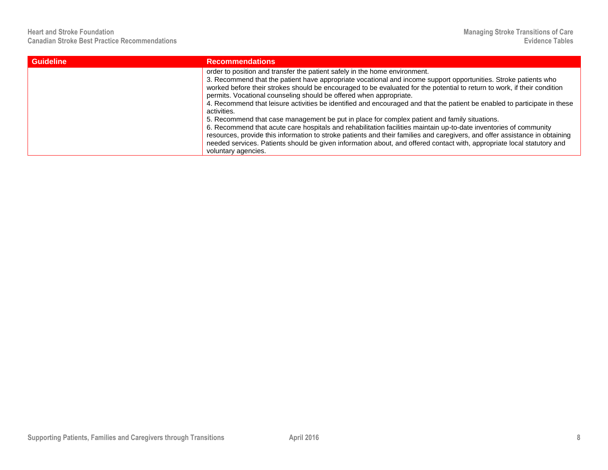| <b>Guideline</b> | <b>Recommendations</b>                                                                                                                                                                                                                                                                                                                                                                                                                                                                                                                                                                                                                                                                                                                                                                                                                                                                                                                                                                                                    |
|------------------|---------------------------------------------------------------------------------------------------------------------------------------------------------------------------------------------------------------------------------------------------------------------------------------------------------------------------------------------------------------------------------------------------------------------------------------------------------------------------------------------------------------------------------------------------------------------------------------------------------------------------------------------------------------------------------------------------------------------------------------------------------------------------------------------------------------------------------------------------------------------------------------------------------------------------------------------------------------------------------------------------------------------------|
|                  | order to position and transfer the patient safely in the home environment.<br>3. Recommend that the patient have appropriate vocational and income support opportunities. Stroke patients who<br>worked before their strokes should be encouraged to be evaluated for the potential to return to work, if their condition<br>permits. Vocational counseling should be offered when appropriate.<br>4. Recommend that leisure activities be identified and encouraged and that the patient be enabled to participate in these<br>activities.<br>5. Recommend that case management be put in place for complex patient and family situations.<br>6. Recommend that acute care hospitals and rehabilitation facilities maintain up-to-date inventories of community<br>resources, provide this information to stroke patients and their families and caregivers, and offer assistance in obtaining<br>needed services. Patients should be given information about, and offered contact with, appropriate local statutory and |
|                  | voluntary agencies.                                                                                                                                                                                                                                                                                                                                                                                                                                                                                                                                                                                                                                                                                                                                                                                                                                                                                                                                                                                                       |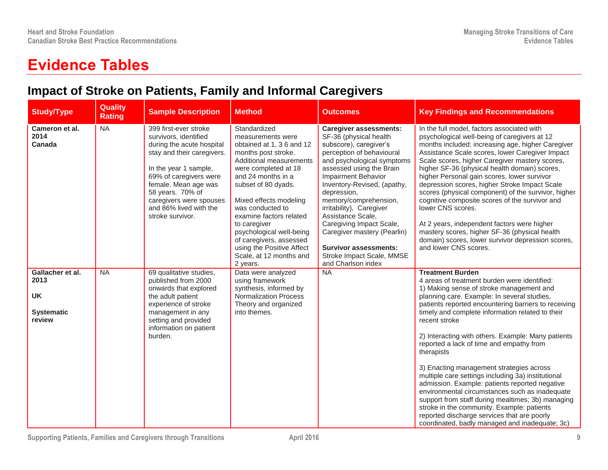## **Evidence Tables**

## **Impact of Stroke on Patients, Family and Informal Caregivers**

| <b>Study/Type</b>                                                    | Quality<br><b>Rating</b> | <b>Sample Description</b>                                                                                                                                                                                                                                                         | <b>Method</b>                                                                                                                                                                                                                                                                                                                                                                                             | <b>Outcomes</b>                                                                                                                                                                                                                                                                                                                                                                                                                                                       | <b>Key Findings and Recommendations</b>                                                                                                                                                                                                                                                                                                                                                                                                                                                                                                                                                                                                                                                                                                                                                                                   |
|----------------------------------------------------------------------|--------------------------|-----------------------------------------------------------------------------------------------------------------------------------------------------------------------------------------------------------------------------------------------------------------------------------|-----------------------------------------------------------------------------------------------------------------------------------------------------------------------------------------------------------------------------------------------------------------------------------------------------------------------------------------------------------------------------------------------------------|-----------------------------------------------------------------------------------------------------------------------------------------------------------------------------------------------------------------------------------------------------------------------------------------------------------------------------------------------------------------------------------------------------------------------------------------------------------------------|---------------------------------------------------------------------------------------------------------------------------------------------------------------------------------------------------------------------------------------------------------------------------------------------------------------------------------------------------------------------------------------------------------------------------------------------------------------------------------------------------------------------------------------------------------------------------------------------------------------------------------------------------------------------------------------------------------------------------------------------------------------------------------------------------------------------------|
| Cameron et al.<br>2014<br>Canada                                     | <b>NA</b>                | 399 first-ever stroke<br>survivors, identified<br>during the acute hospital<br>stay and their caregivers.<br>In the year 1 sample,<br>69% of caregivers were<br>female. Mean age was<br>58 years. 70% of<br>caregivers were spouses<br>and 86% lived with the<br>stroke survivor. | Standardized<br>measurements were<br>obtained at 1, 3 6 and 12<br>months post stroke.<br>Additional measurements<br>were completed at 18<br>and 24 months in a<br>subset of 80 dyads.<br>Mixed effects modeling<br>was conducted to<br>examine factors related<br>to caregiver<br>psychological well-being<br>of caregivers, assessed<br>using the Positive Affect<br>Scale, at 12 months and<br>2 years. | <b>Caregiver assessments:</b><br>SF-36 (physical health<br>subscore), caregiver's<br>perception of behavioural<br>and psychological symptoms<br>assessed using the Brain<br>Impairment Behavior<br>Inventory-Revised, (apathy,<br>depression,<br>memory/comprehension,<br>irritability), Caregiver<br>Assistance Scale,<br>Caregiving Impact Scale,<br>Caregiver mastery (Pearlin)<br><b>Survivor assessments:</b><br>Stroke Impact Scale, MMSE<br>and Charlson index | In the full model, factors associated with<br>psychological well-being of caregivers at 12<br>months included: increasing age, higher Caregiver<br>Assistance Scale scores, lower Caregiver Impact<br>Scale scores, higher Caregiver mastery scores,<br>higher SF-36 (physical health domain) scores,<br>higher Personal gain scores, lower survivor<br>depression scores, higher Stroke Impact Scale<br>scores (physical component) of the survivor, higher<br>cognitive composite scores of the survivor and<br>lower CNS scores.<br>At 2 years, independent factors were higher<br>mastery scores, higher SF-36 (physical health<br>domain) scores, lower survivor depression scores,<br>and lower CNS scores.                                                                                                         |
| Gallacher et al.<br>2013<br><b>UK</b><br><b>Systematic</b><br>review | NA                       | 69 qualitative studies,<br>published from 2000<br>onwards that explored<br>the adult patient<br>experience of stroke<br>management in any<br>setting and provided<br>information on patient<br>burden.                                                                            | Data were analyzed<br>using framework<br>synthesis, informed by<br><b>Normalization Process</b><br>Theory and organized<br>into themes.                                                                                                                                                                                                                                                                   | <b>NA</b>                                                                                                                                                                                                                                                                                                                                                                                                                                                             | <b>Treatment Burden</b><br>4 areas of treatment burden were identified:<br>1) Making sense of stroke management and<br>planning care. Example: In several studies,<br>patients reported encountering barriers to receiving<br>timely and complete information related to their<br>recent stroke<br>2) Interacting with others. Example: Many patients<br>reported a lack of time and empathy from<br>therapists<br>3) Enacting management strategies across<br>multiple care settings including 3a) institutional<br>admission. Example: patients reported negative<br>environmental circumstances such as inadequate<br>support from staff during mealtimes; 3b) managing<br>stroke in the community. Example: patients<br>reported discharge services that are poorly<br>coordinated, badly managed and inadequate; 3c) |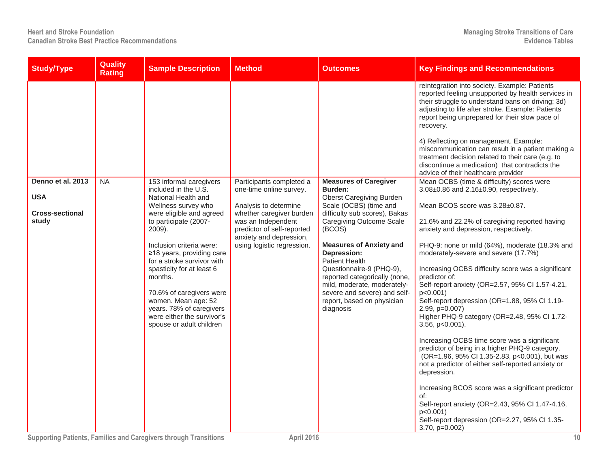| <b>Quality</b><br><b>Study/Type</b><br><b>Rating</b>                            | <b>Sample Description</b>                                                                                                                                                                                                                                                                                                                                                                                                            | <b>Method</b>                                                                                                                                                                                                         | <b>Outcomes</b>                                                                                                                                                                                                                                                                                                                                                                                                                     | <b>Key Findings and Recommendations</b>                                                                                                                                                                                                                                                                                                                                                                                                                                                                                                                                                                                                                                                                                                                                                                                                                                                                                                                                                             |
|---------------------------------------------------------------------------------|--------------------------------------------------------------------------------------------------------------------------------------------------------------------------------------------------------------------------------------------------------------------------------------------------------------------------------------------------------------------------------------------------------------------------------------|-----------------------------------------------------------------------------------------------------------------------------------------------------------------------------------------------------------------------|-------------------------------------------------------------------------------------------------------------------------------------------------------------------------------------------------------------------------------------------------------------------------------------------------------------------------------------------------------------------------------------------------------------------------------------|-----------------------------------------------------------------------------------------------------------------------------------------------------------------------------------------------------------------------------------------------------------------------------------------------------------------------------------------------------------------------------------------------------------------------------------------------------------------------------------------------------------------------------------------------------------------------------------------------------------------------------------------------------------------------------------------------------------------------------------------------------------------------------------------------------------------------------------------------------------------------------------------------------------------------------------------------------------------------------------------------------|
|                                                                                 |                                                                                                                                                                                                                                                                                                                                                                                                                                      |                                                                                                                                                                                                                       |                                                                                                                                                                                                                                                                                                                                                                                                                                     | reintegration into society. Example: Patients<br>reported feeling unsupported by health services in<br>their struggle to understand bans on driving; 3d)<br>adjusting to life after stroke. Example: Patients<br>report being unprepared for their slow pace of<br>recovery.<br>4) Reflecting on management. Example:<br>miscommunication can result in a patient making a<br>treatment decision related to their care (e.g. to<br>discontinue a medication) that contradicts the<br>advice of their healthcare provider                                                                                                                                                                                                                                                                                                                                                                                                                                                                            |
| Denno et al. 2013<br><b>NA</b><br><b>USA</b><br><b>Cross-sectional</b><br>study | 153 informal caregivers<br>included in the U.S.<br>National Health and<br>Wellness survey who<br>were eligible and agreed<br>to participate (2007-<br>2009).<br>Inclusion criteria were:<br>≥18 years, providing care<br>for a stroke survivor with<br>spasticity for at least 6<br>months.<br>70.6% of caregivers were<br>women. Mean age: 52<br>years. 78% of caregivers<br>were either the survivor's<br>spouse or adult children | Participants completed a<br>one-time online survey.<br>Analysis to determine<br>whether caregiver burden<br>was an Independent<br>predictor of self-reported<br>anxiety and depression,<br>using logistic regression. | <b>Measures of Caregiver</b><br>Burden:<br><b>Oberst Caregiving Burden</b><br>Scale (OCBS) (time and<br>difficulty sub scores), Bakas<br><b>Caregiving Outcome Scale</b><br>(BCOS)<br><b>Measures of Anxiety and</b><br>Depression:<br><b>Patient Health</b><br>Questionnaire-9 (PHQ-9),<br>reported categorically (none,<br>mild, moderate, moderately-<br>severe and severe) and self-<br>report, based on physician<br>diagnosis | Mean OCBS (time & difficulty) scores were<br>3.08±0.86 and 2.16±0.90, respectively.<br>Mean BCOS score was 3.28±0.87.<br>21.6% and 22.2% of caregiving reported having<br>anxiety and depression, respectively.<br>PHQ-9: none or mild (64%), moderate (18.3% and<br>moderately-severe and severe (17.7%)<br>Increasing OCBS difficulty score was a significant<br>predictor of:<br>Self-report anxiety (OR=2.57, 95% CI 1.57-4.21,<br>$p<0.001$ )<br>Self-report depression (OR=1.88, 95% CI 1.19-<br>2.99, p=0.007)<br>Higher PHQ-9 category (OR=2.48, 95% CI 1.72-<br>$3.56$ , $p<0.001$ ).<br>Increasing OCBS time score was a significant<br>predictor of being in a higher PHQ-9 category.<br>(OR=1.96, 95% CI 1.35-2.83, p<0.001), but was<br>not a predictor of either self-reported anxiety or<br>depression.<br>Increasing BCOS score was a significant predictor<br>of:<br>Self-report anxiety (OR=2.43, 95% CI 1.47-4.16,<br>p < 0.001<br>Self-report depression (OR=2.27, 95% CI 1.35- |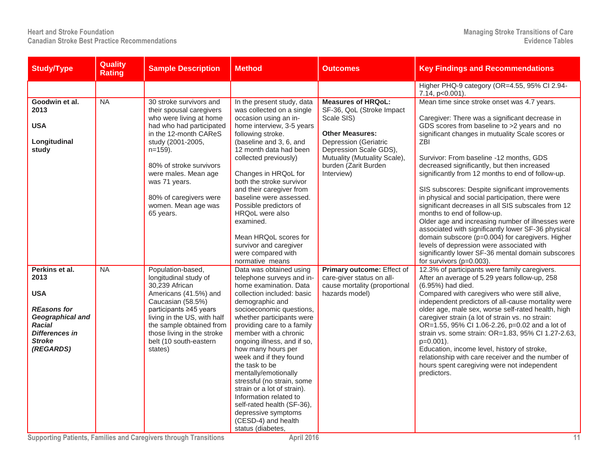| <b>Study/Type</b>                                                                                                                                      | Quality<br><b>Rating</b> | <b>Sample Description</b>                                                                                                                                                                                                                                                                                | <b>Method</b>                                                                                                                                                                                                                                                                                                                                                                                                                                                                                                                                                    | <b>Outcomes</b>                                                                                                                                                                                                                | <b>Key Findings and Recommendations</b>                                                                                                                                                                                                                                                                                                                                                                                                                                                                                                                                                                                                                                                                                                                                                                                                             |
|--------------------------------------------------------------------------------------------------------------------------------------------------------|--------------------------|----------------------------------------------------------------------------------------------------------------------------------------------------------------------------------------------------------------------------------------------------------------------------------------------------------|------------------------------------------------------------------------------------------------------------------------------------------------------------------------------------------------------------------------------------------------------------------------------------------------------------------------------------------------------------------------------------------------------------------------------------------------------------------------------------------------------------------------------------------------------------------|--------------------------------------------------------------------------------------------------------------------------------------------------------------------------------------------------------------------------------|-----------------------------------------------------------------------------------------------------------------------------------------------------------------------------------------------------------------------------------------------------------------------------------------------------------------------------------------------------------------------------------------------------------------------------------------------------------------------------------------------------------------------------------------------------------------------------------------------------------------------------------------------------------------------------------------------------------------------------------------------------------------------------------------------------------------------------------------------------|
|                                                                                                                                                        |                          |                                                                                                                                                                                                                                                                                                          |                                                                                                                                                                                                                                                                                                                                                                                                                                                                                                                                                                  |                                                                                                                                                                                                                                | Higher PHQ-9 category (OR=4.55, 95% CI 2.94-<br>7.14, p<0.001).                                                                                                                                                                                                                                                                                                                                                                                                                                                                                                                                                                                                                                                                                                                                                                                     |
| Goodwin et al.<br>2013<br><b>USA</b><br>Longitudinal<br>study                                                                                          | NA                       | 30 stroke survivors and<br>their spousal caregivers<br>who were living at home<br>had who had participated<br>in the 12-month CAReS<br>study (2001-2005,<br>$n=159$ ).<br>80% of stroke survivors<br>were males. Mean age<br>was 71 years.<br>80% of caregivers were<br>women. Mean age was<br>65 years. | In the present study, data<br>was collected on a single<br>occasion using an in-<br>home interview, 3-5 years<br>following stroke.<br>(baseline and 3, 6, and<br>12 month data had been<br>collected previously)<br>Changes in HRQoL for<br>both the stroke survivor<br>and their caregiver from<br>baseline were assessed.<br>Possible predictors of<br>HRQoL were also<br>examined.<br>Mean HRQoL scores for<br>survivor and caregiver<br>were compared with<br>normative means                                                                                | <b>Measures of HRQoL:</b><br>SF-36, QoL (Stroke Impact<br>Scale SIS)<br><b>Other Measures:</b><br><b>Depression (Geriatric</b><br>Depression Scale GDS),<br>Mutuality (Mutuality Scale),<br>burden (Zarit Burden<br>Interview) | Mean time since stroke onset was 4.7 years.<br>Caregiver: There was a significant decrease in<br>GDS scores from baseline to >2 years and no<br>significant changes in mutuality Scale scores or<br>ZBI<br>Survivor: From baseline -12 months, GDS<br>decreased significantly, but then increased<br>significantly from 12 months to end of follow-up.<br>SIS subscores: Despite significant improvements<br>in physical and social participation, there were<br>significant decreases in all SIS subscales from 12<br>months to end of follow-up.<br>Older age and increasing number of illnesses were<br>associated with significantly lower SF-36 physical<br>domain subscore (p=0.004) for caregivers. Higher<br>levels of depression were associated with<br>significantly lower SF-36 mental domain subscores<br>for survivors ( $p=0.003$ ). |
| Perkins et al.<br>2013<br><b>USA</b><br><b>REasons for</b><br>Geographical and<br><b>Racial</b><br><b>Differences in</b><br><b>Stroke</b><br>(REGARDS) | <b>NA</b>                | Population-based,<br>longitudinal study of<br>30,239 African<br>Americans (41.5%) and<br>Caucasian (58.5%)<br>participants ≥45 years<br>living in the US, with half<br>the sample obtained from<br>those living in the stroke<br>belt (10 south-eastern<br>states)                                       | Data was obtained using<br>telephone surveys and in-<br>home examination. Data<br>collection included: basic<br>demographic and<br>socioeconomic questions,<br>whether participants were<br>providing care to a family<br>member with a chronic<br>ongoing illness, and if so,<br>how many hours per<br>week and if they found<br>the task to be<br>mentally/emotionally<br>stressful (no strain, some<br>strain or a lot of strain).<br>Information related to<br>self-rated health (SF-36),<br>depressive symptoms<br>(CESD-4) and health<br>status (diabetes, | Primary outcome: Effect of<br>care-giver status on all-<br>cause mortality (proportional<br>hazards model)                                                                                                                     | 12.3% of participants were family caregivers.<br>After an average of 5.29 years follow-up, 258<br>(6.95%) had died.<br>Compared with caregivers who were still alive,<br>independent predictors of all-cause mortality were<br>older age, male sex, worse self-rated health, high<br>caregiver strain (a lot of strain vs. no strain:<br>OR=1.55, 95% CI 1.06-2.26, p=0.02 and a lot of<br>strain vs. some strain: OR=1.83, 95% Cl 1.27-2.63,<br>$p=0.001$ ).<br>Education, income level, history of stroke,<br>relationship with care receiver and the number of<br>hours spent caregiving were not independent<br>predictors.                                                                                                                                                                                                                     |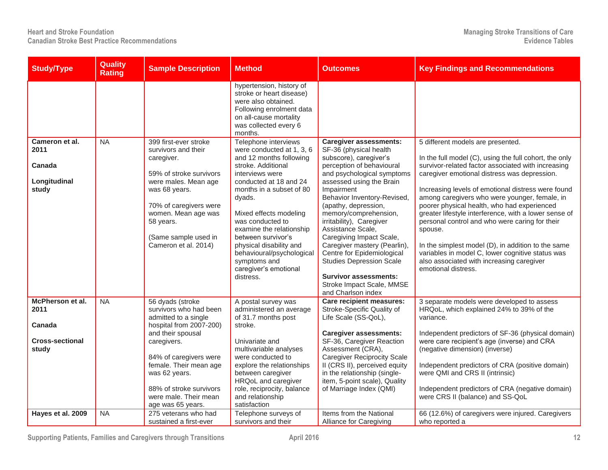| <b>Study/Type</b>                  | <b>Quality</b><br><b>Rating</b> | <b>Sample Description</b>                                                                                                                                                      | <b>Method</b>                                                                                                                                                                                                                                                              | <b>Outcomes</b>                                                                                                                                                                                                                                                                                                                                                                         | <b>Key Findings and Recommendations</b>                                                                                                                                                                                                                                                                                                                                                                                                                |
|------------------------------------|---------------------------------|--------------------------------------------------------------------------------------------------------------------------------------------------------------------------------|----------------------------------------------------------------------------------------------------------------------------------------------------------------------------------------------------------------------------------------------------------------------------|-----------------------------------------------------------------------------------------------------------------------------------------------------------------------------------------------------------------------------------------------------------------------------------------------------------------------------------------------------------------------------------------|--------------------------------------------------------------------------------------------------------------------------------------------------------------------------------------------------------------------------------------------------------------------------------------------------------------------------------------------------------------------------------------------------------------------------------------------------------|
| Cameron et al.                     | NA                              | 399 first-ever stroke                                                                                                                                                          | hypertension, history of<br>stroke or heart disease)<br>were also obtained.<br>Following enrolment data<br>on all-cause mortality<br>was collected every 6<br>months.<br>Telephone interviews                                                                              | <b>Caregiver assessments:</b>                                                                                                                                                                                                                                                                                                                                                           | 5 different models are presented.                                                                                                                                                                                                                                                                                                                                                                                                                      |
| 2011<br>Canada                     |                                 | survivors and their<br>caregiver.<br>59% of stroke survivors                                                                                                                   | were conducted at 1, 3, 6<br>and 12 months following<br>stroke, Additional<br>interviews were                                                                                                                                                                              | SF-36 (physical health<br>subscore), caregiver's<br>perception of behavioural<br>and psychological symptoms                                                                                                                                                                                                                                                                             | In the full model (C), using the full cohort, the only<br>survivor-related factor associated with increasing<br>caregiver emotional distress was depression.                                                                                                                                                                                                                                                                                           |
| Longitudinal<br>study              |                                 | were males. Mean age<br>was 68 years.<br>70% of caregivers were<br>women. Mean age was<br>58 years.<br>(Same sample used in<br>Cameron et al. 2014)                            | conducted at 18 and 24<br>months in a subset of 80<br>dyads.<br>Mixed effects modeling<br>was conducted to<br>examine the relationship<br>between survivor's<br>physical disability and<br>behavioural/psychological<br>symptoms and<br>caregiver's emotional<br>distress. | assessed using the Brain<br>Impairment<br>Behavior Inventory-Revised,<br>(apathy, depression,<br>memory/comprehension,<br>irritability), Caregiver<br>Assistance Scale,<br>Caregiving Impact Scale,<br>Caregiver mastery (Pearlin),<br>Centre for Epidemiological<br><b>Studies Depression Scale</b><br><b>Survivor assessments:</b><br>Stroke Impact Scale, MMSE<br>and Charlson index | Increasing levels of emotional distress were found<br>among caregivers who were younger, female, in<br>poorer physical health, who had experienced<br>greater lifestyle interference, with a lower sense of<br>personal control and who were caring for their<br>spouse.<br>In the simplest model (D), in addition to the same<br>variables in model C, lower cognitive status was<br>also associated with increasing caregiver<br>emotional distress. |
| McPherson et al.<br>2011<br>Canada | <b>NA</b>                       | 56 dyads (stroke<br>survivors who had been<br>admitted to a single<br>hospital from 2007-200)                                                                                  | A postal survey was<br>administered an average<br>of 31.7 months post<br>stroke.                                                                                                                                                                                           | Care recipient measures:<br>Stroke-Specific Quality of<br>Life Scale (SS-QoL),                                                                                                                                                                                                                                                                                                          | 3 separate models were developed to assess<br>HRQoL, which explained 24% to 39% of the<br>variance.                                                                                                                                                                                                                                                                                                                                                    |
| <b>Cross-sectional</b><br>study    |                                 | and their spousal<br>caregivers.<br>84% of caregivers were<br>female. Their mean age<br>was 62 years.<br>88% of stroke survivors<br>were male. Their mean<br>age was 65 years. | Univariate and<br>multivariable analyses<br>were conducted to<br>explore the relationships<br>between caregiver<br>HRQoL and caregiver<br>role, reciprocity, balance<br>and relationship<br>satisfaction                                                                   | <b>Caregiver assessments:</b><br>SF-36, Caregiver Reaction<br>Assessment (CRA),<br><b>Caregiver Reciprocity Scale</b><br>II (CRS II), perceived equity<br>in the relationship (single-<br>item, 5-point scale), Quality<br>of Marriage Index (QMI)                                                                                                                                      | Independent predictors of SF-36 (physical domain)<br>were care recipient's age (inverse) and CRA<br>(negative dimension) (inverse)<br>Independent predictors of CRA (positive domain)<br>were QMI and CRS II (intrinsic)<br>Independent predictors of CRA (negative domain)<br>were CRS II (balance) and SS-QoL                                                                                                                                        |
| Hayes et al. 2009                  | NA                              | 275 veterans who had<br>sustained a first-ever                                                                                                                                 | Telephone surveys of<br>survivors and their                                                                                                                                                                                                                                | Items from the National<br>Alliance for Caregiving                                                                                                                                                                                                                                                                                                                                      | 66 (12.6%) of caregivers were injured. Caregivers<br>who reported a                                                                                                                                                                                                                                                                                                                                                                                    |

**Supporting Patients, Families and Caregivers through Transitions April 2016 12**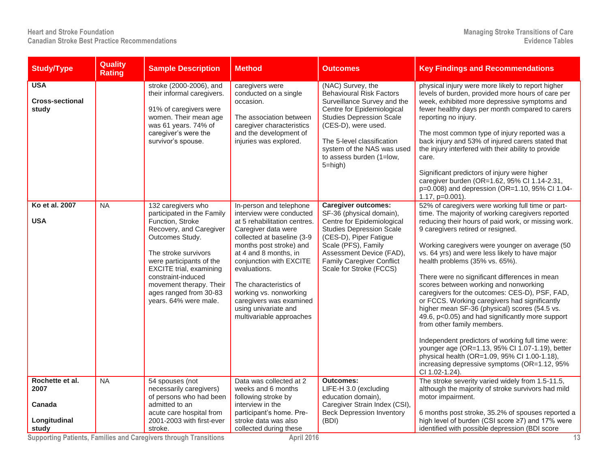| <b>Study/Type</b>                                          | <b>Quality</b><br><b>Rating</b> | <b>Sample Description</b>                                                                                                                                                                                                                                                                                    | <b>Method</b>                                                                                                                                                                                                                                                                                                                                                              | <b>Outcomes</b>                                                                                                                                                                                                                                                                     | <b>Key Findings and Recommendations</b>                                                                                                                                                                                                                                                                                                                                                                                                                                                                                                                                                                                                                                                                                                                                                                                                                                                            |
|------------------------------------------------------------|---------------------------------|--------------------------------------------------------------------------------------------------------------------------------------------------------------------------------------------------------------------------------------------------------------------------------------------------------------|----------------------------------------------------------------------------------------------------------------------------------------------------------------------------------------------------------------------------------------------------------------------------------------------------------------------------------------------------------------------------|-------------------------------------------------------------------------------------------------------------------------------------------------------------------------------------------------------------------------------------------------------------------------------------|----------------------------------------------------------------------------------------------------------------------------------------------------------------------------------------------------------------------------------------------------------------------------------------------------------------------------------------------------------------------------------------------------------------------------------------------------------------------------------------------------------------------------------------------------------------------------------------------------------------------------------------------------------------------------------------------------------------------------------------------------------------------------------------------------------------------------------------------------------------------------------------------------|
| <b>USA</b><br><b>Cross-sectional</b><br>study              |                                 | stroke (2000-2006), and<br>their informal caregivers.<br>91% of caregivers were<br>women. Their mean age<br>was 61 years. 74% of<br>caregiver's were the<br>survivor's spouse.                                                                                                                               | caregivers were<br>conducted on a single<br>occasion.<br>The association between<br>caregiver characteristics<br>and the development of<br>injuries was explored.                                                                                                                                                                                                          | (NAC) Survey, the<br><b>Behavioural Risk Factors</b><br>Surveillance Survey and the<br>Centre for Epidemiological<br><b>Studies Depression Scale</b><br>(CES-D), were used.<br>The 5-level classification<br>system of the NAS was used<br>to assess burden (1=low,<br>$5 = high$ ) | physical injury were more likely to report higher<br>levels of burden, provided more hours of care per<br>week, exhibited more depressive symptoms and<br>fewer healthy days per month compared to carers<br>reporting no injury.<br>The most common type of injury reported was a<br>back injury and 53% of injured carers stated that<br>the injury interfered with their ability to provide<br>care.<br>Significant predictors of injury were higher<br>caregiver burden (OR=1.62, 95% Cl 1.14-2.31,<br>p=0.008) and depression (OR=1.10, 95% CI 1.04-<br>$1.17$ , $p=0.001$ ).                                                                                                                                                                                                                                                                                                                 |
| Ko et al. 2007<br><b>USA</b>                               | <b>NA</b>                       | 132 caregivers who<br>participated in the Family<br>Function, Stroke<br>Recovery, and Caregiver<br>Outcomes Study.<br>The stroke survivors<br>were participants of the<br><b>EXCITE</b> trial, examining<br>constraint-induced<br>movement therapy. Their<br>ages ranged from 30-83<br>years. 64% were male. | In-person and telephone<br>interview were conducted<br>at 5 rehabilitation centres.<br>Caregiver data were<br>collected at baseline (3-9<br>months post stroke) and<br>at 4 and 8 months, in<br>conjunction with EXCITE<br>evaluations.<br>The characteristics of<br>working vs. nonworking<br>caregivers was examined<br>using univariate and<br>multivariable approaches | <b>Caregiver outcomes:</b><br>SF-36 (physical domain),<br>Centre for Epidemiological<br><b>Studies Depression Scale</b><br>(CES-D), Piper Fatigue<br>Scale (PFS), Family<br>Assessment Device (FAD),<br><b>Family Caregiver Conflict</b><br>Scale for Stroke (FCCS)                 | 52% of caregivers were working full time or part-<br>time. The majority of working caregivers reported<br>reducing their hours of paid work, or missing work.<br>9 caregivers retired or resigned.<br>Working caregivers were younger on average (50<br>vs. 64 yrs) and were less likely to have major<br>health problems (35% vs. 65%).<br>There were no significant differences in mean<br>scores between working and nonworking<br>caregivers for the outcomes: CES-D), PSF, FAD,<br>or FCCS. Working caregivers had significantly<br>higher mean SF-36 (physical) scores (54.5 vs.<br>49.6, p<0.05) and had significantly more support<br>from other family members.<br>Independent predictors of working full time were:<br>younger age (OR=1.13, 95% CI 1.07-1.19), better<br>physical health (OR=1.09, 95% Cl 1.00-1.18),<br>increasing depressive symptoms (OR=1.12, 95%<br>CI 1.02-1.24). |
| Rochette et al.<br>2007<br>Canada<br>Longitudinal<br>study | NA                              | 54 spouses (not<br>necessarily caregivers)<br>of persons who had been<br>admitted to an<br>acute care hospital from<br>2001-2003 with first-ever<br>stroke.                                                                                                                                                  | Data was collected at 2<br>weeks and 6 months<br>following stroke by<br>interview in the<br>participant's home. Pre-<br>stroke data was also<br>collected during these                                                                                                                                                                                                     | <b>Outcomes:</b><br>LIFE-H 3.0 (excluding<br>education domain),<br>Caregiver Strain Index (CSI)<br><b>Beck Depression Inventory</b><br>(BDI)                                                                                                                                        | The stroke severity varied widely from 1.5-11.5,<br>although the majority of stroke survivors had mild<br>motor impairment.<br>6 months post stroke, 35.2% of spouses reported a<br>high level of burden (CSI score ≥7) and 17% were<br>identified with possible depression (BDI score                                                                                                                                                                                                                                                                                                                                                                                                                                                                                                                                                                                                             |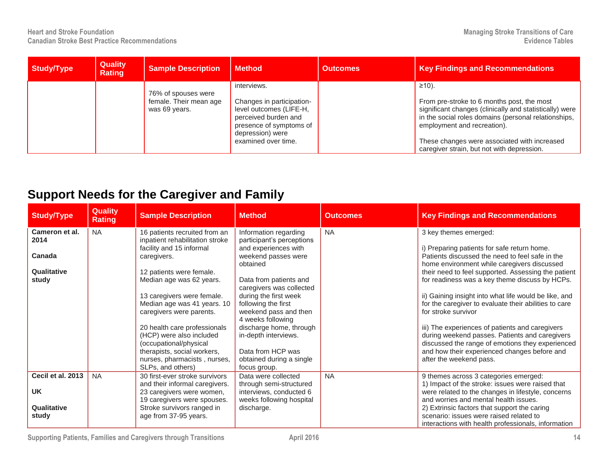| Study/Type | <b>Quality</b><br><b>Rating</b> | <b>Sample Description</b>                                      | <b>Method</b>                                                                                                                                                     | <b>Outcomes</b> | <b>Key Findings and Recommendations</b>                                                                                                                                                                                                                                                                |
|------------|---------------------------------|----------------------------------------------------------------|-------------------------------------------------------------------------------------------------------------------------------------------------------------------|-----------------|--------------------------------------------------------------------------------------------------------------------------------------------------------------------------------------------------------------------------------------------------------------------------------------------------------|
|            |                                 | 76% of spouses were<br>female. Their mean age<br>was 69 years. | interviews.<br>Changes in participation-<br>level outcomes (LIFE-H,<br>perceived burden and<br>presence of symptoms of<br>depression) were<br>examined over time. |                 | $≥10$ ).<br>From pre-stroke to 6 months post, the most<br>significant changes (clinically and statistically) were<br>in the social roles domains (personal relationships,<br>employment and recreation).<br>These changes were associated with increased<br>caregiver strain, but not with depression. |

## **Support Needs for the Caregiver and Family**

| <b>Study/Type</b>      | <b>Quality</b><br><b>Rating</b> | <b>Sample Description</b>                                        | <b>Method</b>                                      | <b>Outcomes</b> | <b>Key Findings and Recommendations</b>               |
|------------------------|---------------------------------|------------------------------------------------------------------|----------------------------------------------------|-----------------|-------------------------------------------------------|
| Cameron et al.<br>2014 | <b>NA</b>                       | 16 patients recruited from an<br>inpatient rehabilitation stroke | Information regarding<br>participant's perceptions | <b>NA</b>       | 3 key themes emerged:                                 |
|                        |                                 | facility and 15 informal                                         | and experiences with                               |                 | i) Preparing patients for safe return home.           |
| Canada                 |                                 | caregivers.                                                      | weekend passes were                                |                 | Patients discussed the need to feel safe in the       |
|                        |                                 |                                                                  | obtained                                           |                 | home environment while caregivers discussed           |
| Qualitative            |                                 | 12 patients were female.                                         |                                                    |                 | their need to feel supported. Assessing the patient   |
| study                  |                                 | Median age was 62 years.                                         | Data from patients and                             |                 | for readiness was a key theme discuss by HCPs.        |
|                        |                                 |                                                                  | caregivers was collected                           |                 |                                                       |
|                        |                                 | 13 caregivers were female.                                       | during the first week                              |                 | ii) Gaining insight into what life would be like, and |
|                        |                                 | Median age was 41 years. 10                                      | following the first                                |                 | for the caregiver to evaluate their abilities to care |
|                        |                                 | caregivers were parents.                                         | weekend pass and then<br>4 weeks following         |                 | for stroke survivor                                   |
|                        |                                 | 20 health care professionals                                     | discharge home, through                            |                 | iii) The experiences of patients and caregivers       |
|                        |                                 | (HCP) were also included                                         | in-depth interviews.                               |                 | during weekend passes. Patients and caregivers        |
|                        |                                 | (occupational/physical                                           |                                                    |                 | discussed the range of emotions they experienced      |
|                        |                                 | therapists, social workers,                                      | Data from HCP was                                  |                 | and how their experienced changes before and          |
|                        |                                 | nurses, pharmacists, nurses,                                     | obtained during a single                           |                 | after the weekend pass.                               |
|                        |                                 | SLPs, and others)                                                | focus group.                                       |                 |                                                       |
| Cecil et al. 2013      | <b>NA</b>                       | 30 first-ever stroke survivors                                   | Data were collected                                | <b>NA</b>       | 9 themes across 3 categories emerged:                 |
|                        |                                 | and their informal caregivers.                                   | through semi-structured                            |                 | 1) Impact of the stroke: issues were raised that      |
| <b>UK</b>              |                                 | 23 caregivers were women,                                        | interviews, conducted 6                            |                 | were related to the changes in lifestyle, concerns    |
|                        |                                 | 19 caregivers were spouses.                                      | weeks following hospital                           |                 | and worries and mental health issues.                 |
| Qualitative            |                                 | Stroke survivors ranged in                                       | discharge.                                         |                 | 2) Extrinsic factors that support the caring          |
| study                  |                                 | age from 37-95 years.                                            |                                                    |                 | scenario: issues were raised related to               |
|                        |                                 |                                                                  |                                                    |                 | interactions with health professionals, information   |

**Supporting Patients, Families and Caregivers through Transitions April 2016 14**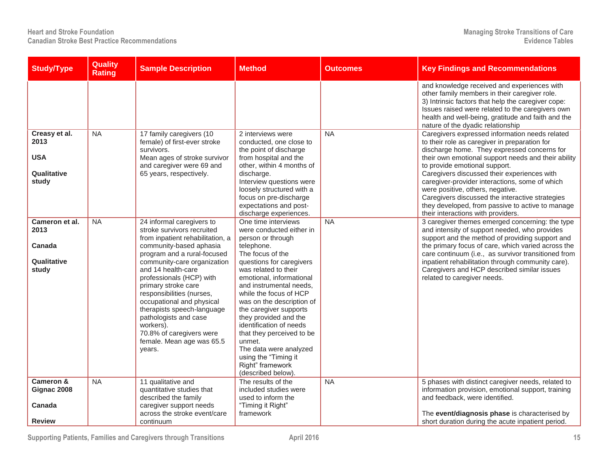| <b>Study/Type</b>                                           | Quality<br><b>Rating</b> | <b>Sample Description</b>                                                                                                                                                                                                                                                                                                                                                                                                                                      | <b>Method</b>                                                                                                                                                                                                                                                                                                                                                                                                                                                                             | <b>Outcomes</b> | <b>Key Findings and Recommendations</b>                                                                                                                                                                                                                                                                                                                                                                                                                                                                                  |
|-------------------------------------------------------------|--------------------------|----------------------------------------------------------------------------------------------------------------------------------------------------------------------------------------------------------------------------------------------------------------------------------------------------------------------------------------------------------------------------------------------------------------------------------------------------------------|-------------------------------------------------------------------------------------------------------------------------------------------------------------------------------------------------------------------------------------------------------------------------------------------------------------------------------------------------------------------------------------------------------------------------------------------------------------------------------------------|-----------------|--------------------------------------------------------------------------------------------------------------------------------------------------------------------------------------------------------------------------------------------------------------------------------------------------------------------------------------------------------------------------------------------------------------------------------------------------------------------------------------------------------------------------|
|                                                             |                          |                                                                                                                                                                                                                                                                                                                                                                                                                                                                |                                                                                                                                                                                                                                                                                                                                                                                                                                                                                           |                 | and knowledge received and experiences with<br>other family members in their caregiver role.<br>3) Intrinsic factors that help the caregiver cope:<br>Issues raised were related to the caregivers own<br>health and well-being, gratitude and faith and the<br>nature of the dyadic relationship                                                                                                                                                                                                                        |
| Creasy et al.<br>2013<br><b>USA</b><br>Qualitative<br>study | <b>NA</b>                | 17 family caregivers (10<br>female) of first-ever stroke<br>survivors.<br>Mean ages of stroke survivor<br>and caregiver were 69 and<br>65 years, respectively.                                                                                                                                                                                                                                                                                                 | 2 interviews were<br>conducted, one close to<br>the point of discharge<br>from hospital and the<br>other, within 4 months of<br>discharge.<br>Interview questions were<br>loosely structured with a<br>focus on pre-discharge<br>expectations and post-<br>discharge experiences.                                                                                                                                                                                                         | <b>NA</b>       | Caregivers expressed information needs related<br>to their role as caregiver in preparation for<br>discharge home. They expressed concerns for<br>their own emotional support needs and their ability<br>to provide emotional support.<br>Caregivers discussed their experiences with<br>caregiver-provider interactions, some of which<br>were positive, others, negative.<br>Caregivers discussed the interactive strategies<br>they developed, from passive to active to manage<br>their interactions with providers. |
| Cameron et al.<br>2013<br>Canada<br>Qualitative<br>study    | <b>NA</b>                | 24 informal caregivers to<br>stroke survivors recruited<br>from inpatient rehabilitation, a<br>community-based aphasia<br>program and a rural-focused<br>community-care organization<br>and 14 health-care<br>professionals (HCP) with<br>primary stroke care<br>responsibilities (nurses,<br>occupational and physical<br>therapists speech-language<br>pathologists and case<br>workers).<br>70.8% of caregivers were<br>female. Mean age was 65.5<br>years. | One time interviews<br>were conducted either in<br>person or through<br>telephone.<br>The focus of the<br>questions for caregivers<br>was related to their<br>emotional, informational<br>and instrumental needs,<br>while the focus of HCP<br>was on the description of<br>the caregiver supports<br>they provided and the<br>identification of needs<br>that they perceived to be<br>unmet.<br>The data were analyzed<br>using the "Timing it<br>Right" framework<br>(described below). | <b>NA</b>       | 3 caregiver themes emerged concerning: the type<br>and intensity of support needed, who provides<br>support and the method of providing support and<br>the primary focus of care, which varied across the<br>care continuum (i.e., as survivor transitioned from<br>inpatient rehabilitation through community care).<br>Caregivers and HCP described similar issues<br>related to caregiver needs.                                                                                                                      |
| Cameron &<br>Gignac 2008                                    | <b>NA</b>                | 11 qualitative and<br>quantitative studies that<br>described the family                                                                                                                                                                                                                                                                                                                                                                                        | The results of the<br>included studies were<br>used to inform the                                                                                                                                                                                                                                                                                                                                                                                                                         | <b>NA</b>       | 5 phases with distinct caregiver needs, related to<br>information provision, emotional support, training<br>and feedback, were identified.                                                                                                                                                                                                                                                                                                                                                                               |
| Canada<br><b>Review</b>                                     |                          | caregiver support needs<br>across the stroke event/care<br>continuum                                                                                                                                                                                                                                                                                                                                                                                           | "Timing it Right"<br>framework                                                                                                                                                                                                                                                                                                                                                                                                                                                            |                 | The event/diagnosis phase is characterised by<br>short duration during the acute inpatient period.                                                                                                                                                                                                                                                                                                                                                                                                                       |

**Supporting Patients, Families and Caregivers through Transitions April 2016 15**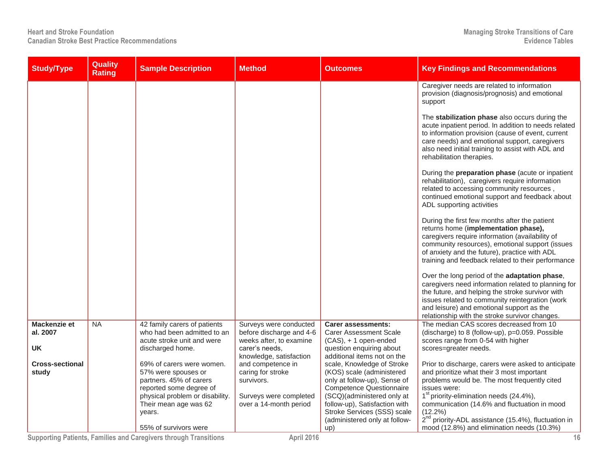| <b>Study/Type</b>                     | Quality<br><b>Rating</b> | <b>Sample Description</b>                                                                                                                 | <b>Method</b>                                                                                             | <b>Outcomes</b>                                                                                                                                                                         | <b>Key Findings and Recommendations</b>                                                                                                                                                                                                                                                                    |
|---------------------------------------|--------------------------|-------------------------------------------------------------------------------------------------------------------------------------------|-----------------------------------------------------------------------------------------------------------|-----------------------------------------------------------------------------------------------------------------------------------------------------------------------------------------|------------------------------------------------------------------------------------------------------------------------------------------------------------------------------------------------------------------------------------------------------------------------------------------------------------|
|                                       |                          |                                                                                                                                           |                                                                                                           |                                                                                                                                                                                         | Caregiver needs are related to information<br>provision (diagnosis/prognosis) and emotional<br>support                                                                                                                                                                                                     |
|                                       |                          |                                                                                                                                           |                                                                                                           |                                                                                                                                                                                         | The stabilization phase also occurs during the<br>acute inpatient period. In addition to needs related<br>to information provision (cause of event, current<br>care needs) and emotional support, caregivers<br>also need initial training to assist with ADL and<br>rehabilitation therapies.             |
|                                       |                          |                                                                                                                                           |                                                                                                           |                                                                                                                                                                                         | During the preparation phase (acute or inpatient<br>rehabilitation), caregivers require information<br>related to accessing community resources,<br>continued emotional support and feedback about<br>ADL supporting activities                                                                            |
|                                       |                          |                                                                                                                                           |                                                                                                           |                                                                                                                                                                                         | During the first few months after the patient<br>returns home (implementation phase),<br>caregivers require information (availability of<br>community resources), emotional support (issues<br>of anxiety and the future), practice with ADL<br>training and feedback related to their performance         |
|                                       |                          |                                                                                                                                           |                                                                                                           |                                                                                                                                                                                         | Over the long period of the adaptation phase,<br>caregivers need information related to planning for<br>the future, and helping the stroke survivor with<br>issues related to community reintegration (work<br>and leisure) and emotional support as the<br>relationship with the stroke survivor changes. |
| Mackenzie et<br>al. 2007<br><b>UK</b> | <b>NA</b>                | 42 family carers of patients<br>who had been admitted to an<br>acute stroke unit and were<br>discharged home.                             | Surveys were conducted<br>before discharge and 4-6<br>weeks after, to examine<br>carer's needs.           | <b>Carer assessments:</b><br><b>Carer Assessment Scale</b><br>$(CAS)$ , + 1 open-ended<br>question enquiring about                                                                      | The median CAS scores decreased from 10<br>(discharge) to 8 (follow-up), p=0.059. Possible<br>scores range from 0-54 with higher<br>scores=greater needs.                                                                                                                                                  |
| <b>Cross-sectional</b><br>study       |                          | 69% of carers were women.<br>57% were spouses or<br>partners. 45% of carers<br>reported some degree of<br>physical problem or disability. | knowledge, satisfaction<br>and competence in<br>caring for stroke<br>survivors.<br>Surveys were completed | additional items not on the<br>scale, Knowledge of Stroke<br>(KOS) scale (administered<br>only at follow-up), Sense of<br><b>Competence Questionnaire</b><br>(SCQ)(administered only at | Prior to discharge, carers were asked to anticipate<br>and prioritize what their 3 most important<br>problems would be. The most frequently cited<br>issues were:<br>1 <sup>st</sup> priority-elimination needs (24.4%),                                                                                   |
|                                       |                          | Their mean age was 62<br>years.<br>55% of survivors were                                                                                  | over a 14-month period                                                                                    | follow-up), Satisfaction with<br>Stroke Services (SSS) scale<br>(administered only at follow-<br>up)                                                                                    | communication (14.6% and fluctuation in mood<br>$(12.2\%)$<br>$2nd$ priority-ADL assistance (15.4%), fluctuation in<br>mood (12.8%) and elimination needs (10.3%)                                                                                                                                          |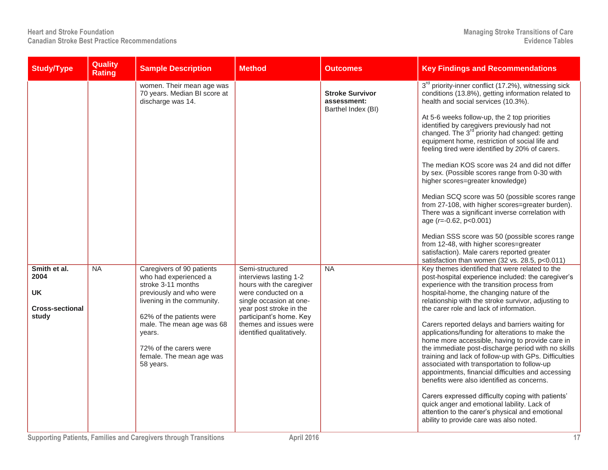| <b>Study/Type</b>                                                    | Quality<br><b>Rating</b> | <b>Sample Description</b>                                                                                                                                                                                                                                               | <b>Method</b>                                                                                                                                                                                                                        | <b>Outcomes</b>                                             | <b>Key Findings and Recommendations</b>                                                                                                                                                                                                                                                                                                                                                                                                                                                                                                                                                                                                                                                                                                                                                                                                                                                                                                                   |
|----------------------------------------------------------------------|--------------------------|-------------------------------------------------------------------------------------------------------------------------------------------------------------------------------------------------------------------------------------------------------------------------|--------------------------------------------------------------------------------------------------------------------------------------------------------------------------------------------------------------------------------------|-------------------------------------------------------------|-----------------------------------------------------------------------------------------------------------------------------------------------------------------------------------------------------------------------------------------------------------------------------------------------------------------------------------------------------------------------------------------------------------------------------------------------------------------------------------------------------------------------------------------------------------------------------------------------------------------------------------------------------------------------------------------------------------------------------------------------------------------------------------------------------------------------------------------------------------------------------------------------------------------------------------------------------------|
|                                                                      |                          | women. Their mean age was<br>70 years. Median BI score at<br>discharge was 14.                                                                                                                                                                                          |                                                                                                                                                                                                                                      | <b>Stroke Survivor</b><br>assessment:<br>Barthel Index (BI) | 3 <sup>rd</sup> priority-inner conflict (17.2%), witnessing sick<br>conditions (13.8%), getting information related to<br>health and social services (10.3%).<br>At 5-6 weeks follow-up, the 2 top priorities<br>identified by caregivers previously had not<br>changed. The 3 <sup>rd</sup> priority had changed: getting<br>equipment home, restriction of social life and<br>feeling tired were identified by 20% of carers.<br>The median KOS score was 24 and did not differ<br>by sex. (Possible scores range from 0-30 with<br>higher scores=greater knowledge)<br>Median SCQ score was 50 (possible scores range<br>from 27-108, with higher scores=greater burden).<br>There was a significant inverse correlation with<br>age $(r=-0.62, p<0.001)$<br>Median SSS score was 50 (possible scores range<br>from 12-48, with higher scores=greater<br>satisfaction). Male carers reported greater<br>satisfaction than women (32 vs. 28.5, p<0.011) |
| Smith et al.<br>2004<br><b>UK</b><br><b>Cross-sectional</b><br>study | <b>NA</b>                | Caregivers of 90 patients<br>who had experienced a<br>stroke 3-11 months<br>previously and who were<br>livening in the community.<br>62% of the patients were<br>male. The mean age was 68<br>years.<br>72% of the carers were<br>female. The mean age was<br>58 years. | Semi-structured<br>interviews lasting 1-2<br>hours with the caregiver<br>were conducted on a<br>single occasion at one-<br>year post stroke in the<br>participant's home. Key<br>themes and issues were<br>identified qualitatively. | $N_A$                                                       | Key themes identified that were related to the<br>post-hospital experience included: the caregiver's<br>experience with the transition process from<br>hospital-home, the changing nature of the<br>relationship with the stroke survivor, adjusting to<br>the carer role and lack of information.<br>Carers reported delays and barriers waiting for<br>applications/funding for alterations to make the<br>home more accessible, having to provide care in<br>the immediate post-discharge period with no skills<br>training and lack of follow-up with GPs. Difficulties<br>associated with transportation to follow-up<br>appointments, financial difficulties and accessing<br>benefits were also identified as concerns.<br>Carers expressed difficulty coping with patients'<br>quick anger and emotional lability. Lack of<br>attention to the carer's physical and emotional<br>ability to provide care was also noted.                          |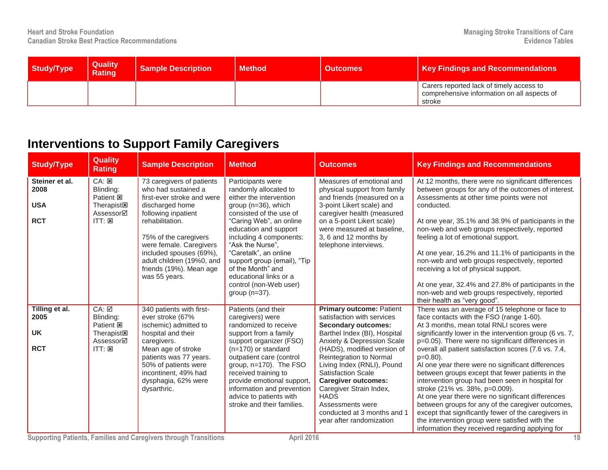| Study/Type | <b>Quality</b><br><b>Rating</b> | <b>Sample Description</b> | <b>Method</b> | <b>Outcomes</b> | <b>Key Findings and Recommendations</b>                                                           |
|------------|---------------------------------|---------------------------|---------------|-----------------|---------------------------------------------------------------------------------------------------|
|            |                                 |                           |               |                 | Carers reported lack of timely access to<br>comprehensive information on all aspects of<br>stroke |

## **Interventions to Support Family Caregivers**

| <b>Study/Type</b>                                  | <b>Quality</b><br><b>Rating</b>                                                                      | <b>Sample Description</b>                                                                                                                                                                                                                                                                           | <b>Method</b>                                                                                                                                                                                                                                                                                                                                                                   | <b>Outcomes</b>                                                                                                                                                                                                                                                                                                                                                                                                                       | <b>Key Findings and Recommendations</b>                                                                                                                                                                                                                                                                                                                                                                                                                                                                                                                                                                                                                                                                                                                                                                |
|----------------------------------------------------|------------------------------------------------------------------------------------------------------|-----------------------------------------------------------------------------------------------------------------------------------------------------------------------------------------------------------------------------------------------------------------------------------------------------|---------------------------------------------------------------------------------------------------------------------------------------------------------------------------------------------------------------------------------------------------------------------------------------------------------------------------------------------------------------------------------|---------------------------------------------------------------------------------------------------------------------------------------------------------------------------------------------------------------------------------------------------------------------------------------------------------------------------------------------------------------------------------------------------------------------------------------|--------------------------------------------------------------------------------------------------------------------------------------------------------------------------------------------------------------------------------------------------------------------------------------------------------------------------------------------------------------------------------------------------------------------------------------------------------------------------------------------------------------------------------------------------------------------------------------------------------------------------------------------------------------------------------------------------------------------------------------------------------------------------------------------------------|
| Steiner et al.<br>2008<br><b>USA</b><br><b>RCT</b> | CA: 25<br>Blinding:<br>Patient <b>図</b><br>Therapist <sub>[8]</sub><br>Assessor⊠<br>$ITT: \boxtimes$ | 73 caregivers of patients<br>who had sustained a<br>first-ever stroke and were<br>discharged home<br>following inpatient<br>rehabilitation.<br>75% of the caregivers<br>were female. Caregivers<br>included spouses (69%),<br>adult children (19%0, and<br>friends (19%). Mean age<br>was 55 years. | Participants were<br>randomly allocated to<br>either the intervention<br>group (n=36), which<br>consisted of the use of<br>"Caring Web", an online<br>education and support<br>including 4 components:<br>"Ask the Nurse".<br>"Caretalk", an online<br>support group (email), "Tip<br>of the Month" and<br>educational links or a<br>control (non-Web user)<br>group $(n=37)$ . | Measures of emotional and<br>physical support from family<br>and friends (measured on a<br>3-point Likert scale) and<br>caregiver health (measured<br>on a 5-point Likert scale)<br>were measured at baseline,<br>3, 6 and 12 months by<br>telephone interviews.                                                                                                                                                                      | At 12 months, there were no significant differences<br>between groups for any of the outcomes of interest.<br>Assessments at other time points were not<br>conducted.<br>At one year, 35.1% and 38.9% of participants in the<br>non-web and web groups respectively, reported<br>feeling a lot of emotional support.<br>At one year, 16.2% and 11.1% of participants in the<br>non-web and web groups respectively, reported<br>receiving a lot of physical support.<br>At one year, 32.4% and 27.8% of participants in the<br>non-web and web groups respectively, reported<br>their health as "very good".                                                                                                                                                                                           |
| Tilling et al.<br>2005<br><b>UK</b><br><b>RCT</b>  | CA: ☑<br>Blinding:<br>Patient <b>図</b><br><b>Therapist図</b><br>Assessor⊠<br>$ITT: \boxtimes$         | 340 patients with first-<br>ever stroke (67%<br>ischemic) admitted to<br>hospital and their<br>caregivers.<br>Mean age of stroke<br>patients was 77 years.<br>50% of patients were<br>incontinent, 49% had<br>dysphagia, 62% were<br>dysarthric.                                                    | Patients (and their<br>caregivers) were<br>randomized to receive<br>support from a family<br>support organizer (FSO)<br>$(n=170)$ or standard<br>outpatient care (control<br>group, $n=170$ ). The FSO<br>received training to<br>provide emotional support,<br>information and prevention<br>advice to patients with<br>stroke and their families.                             | <b>Primary outcome: Patient</b><br>satisfaction with services<br><b>Secondary outcomes:</b><br>Barthel Index (BI), Hospital<br>Anxiety & Depression Scale<br>(HADS), modified version of<br>Reintegration to Normal<br>Living Index (RNLI), Pound<br><b>Satisfaction Scale</b><br><b>Caregiver outcomes:</b><br>Caregiver Strain Index,<br><b>HADS</b><br>Assessments were<br>conducted at 3 months and 1<br>year after randomization | There was an average of 15 telephone or face to<br>face contacts with the FSO (range 1-60).<br>At 3 months, mean total RNLI scores were<br>significantly lower in the intervention group (6 vs. 7,<br>p=0.05). There were no significant differences in<br>overall all patient satisfaction scores (7.6 vs. 7.4,<br>$p=0.80$ ).<br>Al one year there were no significant differences<br>between groups except that fewer patients in the<br>intervention group had been seen in hospital for<br>stroke (21% vs. 38%, p=0.009).<br>At one year there were no significant differences<br>between groups for any of the caregiver outcomes,<br>except that significantly fewer of the caregivers in<br>the intervention group were satisfied with the<br>information they received regarding applying for |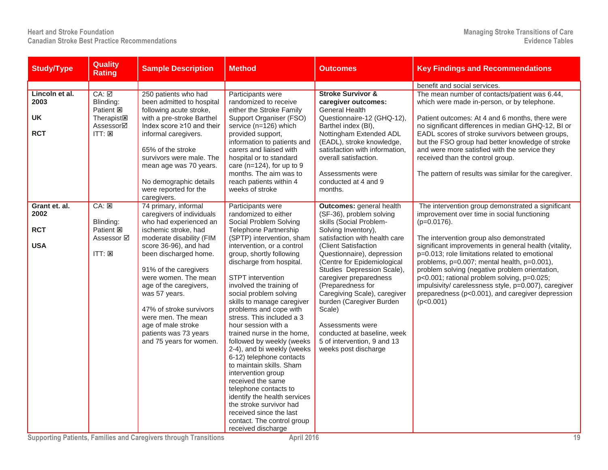| <b>Study/Type</b>                                 | <b>Quality</b><br><b>Rating</b>                                                                                                           | <b>Sample Description</b>                                                                                                                                                                                                                                                                                                                                                                                | <b>Method</b>                                                                                                                                                                                                                                                                                                                                                                                                                                                                                                                                                                                                                                                                                                                                                                       | <b>Outcomes</b>                                                                                                                                                                                                                                                                                                                                                                                                                                                                                  | <b>Key Findings and Recommendations</b>                                                                                                                                                                                                                                                                                                                                                                                                                                                                                                            |
|---------------------------------------------------|-------------------------------------------------------------------------------------------------------------------------------------------|----------------------------------------------------------------------------------------------------------------------------------------------------------------------------------------------------------------------------------------------------------------------------------------------------------------------------------------------------------------------------------------------------------|-------------------------------------------------------------------------------------------------------------------------------------------------------------------------------------------------------------------------------------------------------------------------------------------------------------------------------------------------------------------------------------------------------------------------------------------------------------------------------------------------------------------------------------------------------------------------------------------------------------------------------------------------------------------------------------------------------------------------------------------------------------------------------------|--------------------------------------------------------------------------------------------------------------------------------------------------------------------------------------------------------------------------------------------------------------------------------------------------------------------------------------------------------------------------------------------------------------------------------------------------------------------------------------------------|----------------------------------------------------------------------------------------------------------------------------------------------------------------------------------------------------------------------------------------------------------------------------------------------------------------------------------------------------------------------------------------------------------------------------------------------------------------------------------------------------------------------------------------------------|
|                                                   |                                                                                                                                           |                                                                                                                                                                                                                                                                                                                                                                                                          |                                                                                                                                                                                                                                                                                                                                                                                                                                                                                                                                                                                                                                                                                                                                                                                     |                                                                                                                                                                                                                                                                                                                                                                                                                                                                                                  | benefit and social services.                                                                                                                                                                                                                                                                                                                                                                                                                                                                                                                       |
| Lincoln et al.<br>2003<br><b>UK</b><br><b>RCT</b> | $CA: \nabla$<br>Blinding:<br>Patient <b>図</b><br>Therapist <sub><math>\overline{\mathbf{z}}</math></sub><br>Assessor⊠<br>$ITT: \boxtimes$ | 250 patients who had<br>been admitted to hospital<br>following acute stroke,<br>with a pre-stroke Barthel<br>Index score ≥10 and their<br>informal caregivers.<br>65% of the stroke<br>survivors were male. The<br>mean age was 70 years.<br>No demographic details<br>were reported for the<br>caregivers.                                                                                              | Participants were<br>randomized to receive<br>either the Stroke Family<br>Support Organiser (FSO)<br>service (n=126) which<br>provided support,<br>information to patients and<br>carers and liaised with<br>hospital or to standard<br>care ( $n=124$ ), for up to 9<br>months. The aim was to<br>reach patients within 4<br>weeks of stroke                                                                                                                                                                                                                                                                                                                                                                                                                                       | <b>Stroke Survivor &amp;</b><br>caregiver outcomes:<br><b>General Health</b><br>Questionnaire-12 (GHQ-12),<br>Barthel index (BI),<br>Nottingham Extended ADL<br>(EADL), stroke knowledge,<br>satisfaction with information,<br>overall satisfaction.<br>Assessments were<br>conducted at 4 and 9<br>months.                                                                                                                                                                                      | The mean number of contacts/patient was 6.44,<br>which were made in-person, or by telephone.<br>Patient outcomes: At 4 and 6 months, there were<br>no significant differences in median GHQ-12, BI or<br>EADL scores of stroke survivors between groups,<br>but the FSO group had better knowledge of stroke<br>and were more satisfied with the service they<br>received than the control group.<br>The pattern of results was similar for the caregiver.                                                                                         |
| Grant et. al.<br>2002<br><b>RCT</b><br><b>USA</b> | $CA: \boxed{\times}$<br>Blinding:<br>Patient <b>E</b><br>Assessor Ø<br>ITT: 図                                                             | 74 primary, informal<br>caregivers of individuals<br>who had experienced an<br>ischemic stroke, had<br>moderate disability (FIM<br>score 36-96), and had<br>been discharged home.<br>91% of the caregivers<br>were women. The mean<br>age of the caregivers,<br>was 57 years.<br>47% of stroke survivors<br>were men. The mean<br>age of male stroke<br>patients was 73 years<br>and 75 years for women. | Participants were<br>randomized to either<br>Social Problem Solving<br><b>Telephone Partnership</b><br>(SPTP) intervention, sham<br>intervention, or a control<br>group, shortly following<br>discharge from hospital.<br><b>STPT</b> intervention<br>involved the training of<br>social problem solving<br>skills to manage caregiver<br>problems and cope with<br>stress. This included a 3<br>hour session with a<br>trained nurse in the home,<br>followed by weekly (weeks<br>2-4), and bi weekly (weeks<br>6-12) telephone contacts<br>to maintain skills. Sham<br>intervention group<br>received the same<br>telephone contacts to<br>identify the health services<br>the stroke survivor had<br>received since the last<br>contact. The control group<br>received discharge | <b>Outcomes: general health</b><br>(SF-36), problem solving<br>skills (Social Problem-<br>Solving Inventory),<br>satisfaction with health care<br>(Client Satisfaction<br>Questionnaire), depression<br>(Centre for Epidemiological<br>Studies Depression Scale),<br>caregiver preparedness<br>(Preparedness for<br>Caregiving Scale), caregiver<br>burden (Caregiver Burden<br>Scale)<br>Assessments were<br>conducted at baseline, week<br>5 of intervention, 9 and 13<br>weeks post discharge | The intervention group demonstrated a significant<br>improvement over time in social functioning<br>$(p=0.0176)$ .<br>The intervention group also demonstrated<br>significant improvements in general health (vitality,<br>p=0.013; role limitations related to emotional<br>problems, p=0.007; mental health, p=0.001),<br>problem solving (negative problem orientation,<br>p<0.001; rational problem solving, p=0.025;<br>impulsivity/ carelessness style, p=0.007), caregiver<br>preparedness (p<0.001), and caregiver depression<br>(p<0.001) |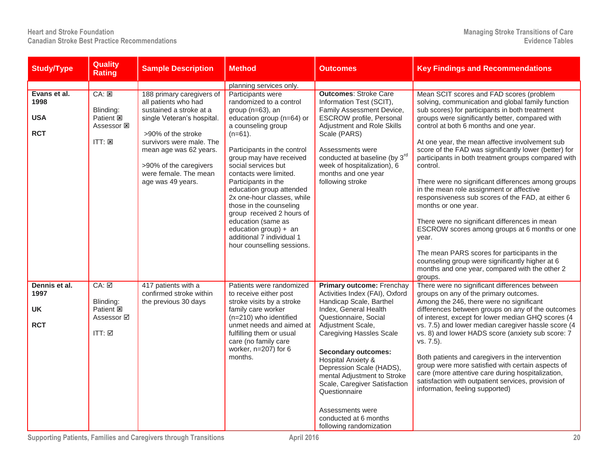| <b>Study/Type</b>                                | <b>Quality</b><br><b>Rating</b>                                                 | <b>Sample Description</b>                                                                                                                                    | <b>Method</b>                                                                                                                                                                                                                                                                                                                                                | <b>Outcomes</b>                                                                                                                                                                                                                                                                                                                                                                                                                                  | <b>Key Findings and Recommendations</b>                                                                                                                                                                                                                                                                                                                                                                                                                                                                                                                                                                                         |
|--------------------------------------------------|---------------------------------------------------------------------------------|--------------------------------------------------------------------------------------------------------------------------------------------------------------|--------------------------------------------------------------------------------------------------------------------------------------------------------------------------------------------------------------------------------------------------------------------------------------------------------------------------------------------------------------|--------------------------------------------------------------------------------------------------------------------------------------------------------------------------------------------------------------------------------------------------------------------------------------------------------------------------------------------------------------------------------------------------------------------------------------------------|---------------------------------------------------------------------------------------------------------------------------------------------------------------------------------------------------------------------------------------------------------------------------------------------------------------------------------------------------------------------------------------------------------------------------------------------------------------------------------------------------------------------------------------------------------------------------------------------------------------------------------|
| Evans et al.<br>1998<br><b>USA</b><br><b>RCT</b> | CA: 2<br>Blinding:<br>Patient <b>図</b><br>Assessor 図<br>$ITT: \boxtimes$        | 188 primary caregivers of<br>all patients who had<br>sustained a stroke at a<br>single Veteran's hospital.<br>>90% of the stroke<br>survivors were male. The | planning services only.<br>Participants were<br>randomized to a control<br>group (n=63), an<br>education group (n=64) or<br>a counseling group<br>$(n=61)$ .                                                                                                                                                                                                 | <b>Outcomes: Stroke Care</b><br>Information Test (SCIT),<br>Family Assessment Device,<br><b>ESCROW</b> profile, Personal<br>Adjustment and Role Skills<br>Scale (PARS)                                                                                                                                                                                                                                                                           | Mean SCIT scores and FAD scores (problem<br>solving, communication and global family function<br>sub scores) for participants in both treatment<br>groups were significantly better, compared with<br>control at both 6 months and one year.<br>At one year, the mean affective involvement sub                                                                                                                                                                                                                                                                                                                                 |
|                                                  |                                                                                 | mean age was 62 years.<br>>90% of the caregivers<br>were female. The mean<br>age was 49 years.                                                               | Participants in the control<br>group may have received<br>social services but<br>contacts were limited.<br>Participants in the<br>education group attended<br>2x one-hour classes, while<br>those in the counseling<br>group received 2 hours of<br>education (same as<br>education group) + $an$<br>additional 7 individual 1<br>hour counselling sessions. | Assessments were<br>conducted at baseline (by 3rd<br>week of hospitalization), 6<br>months and one year<br>following stroke                                                                                                                                                                                                                                                                                                                      | score of the FAD was significantly lower (better) for<br>participants in both treatment groups compared with<br>control.<br>There were no significant differences among groups<br>in the mean role assignment or affective<br>responsiveness sub scores of the FAD, at either 6<br>months or one year.<br>There were no significant differences in mean<br>ESCROW scores among groups at 6 months or one<br>year.<br>The mean PARS scores for participants in the<br>counseling group were significantly higher at 6<br>months and one year, compared with the other 2<br>groups.                                               |
| Dennis et al.<br>1997<br><b>UK</b><br><b>RCT</b> | $CA: \boxed{2}$<br>Blinding:<br>Patient <b>図</b><br>Assessor <b>☑</b><br>ITT: ☑ | 417 patients with a<br>confirmed stroke within<br>the previous 30 days                                                                                       | Patients were randomized<br>to receive either post<br>stroke visits by a stroke<br>family care worker<br>$(n=210)$ who identified<br>unmet needs and aimed at<br>fulfilling them or usual<br>care (no family care<br>worker, $n=207$ ) for 6<br>months.                                                                                                      | <b>Primary outcome: Frenchay</b><br>Activities Index (FAI), Oxford<br>Handicap Scale, Barthel<br>Index, General Health<br>Questionnaire, Social<br>Adjustment Scale,<br><b>Caregiving Hassles Scale</b><br><b>Secondary outcomes:</b><br>Hospital Anxiety &<br>Depression Scale (HADS),<br>mental Adjustment to Stroke<br>Scale, Caregiver Satisfaction<br>Questionnaire<br>Assessments were<br>conducted at 6 months<br>following randomization | There were no significant differences between<br>groups on any of the primary outcomes.<br>Among the 246, there were no significant<br>differences between groups on any of the outcomes<br>of interest, except for lower median GHQ scores (4<br>vs. 7.5) and lower median caregiver hassle score (4<br>vs. 8) and lower HADS score (anxiety sub score: 7<br>vs. 7.5).<br>Both patients and caregivers in the intervention<br>group were more satisfied with certain aspects of<br>care (more attentive care during hospitalization,<br>satisfaction with outpatient services, provision of<br>information, feeling supported) |